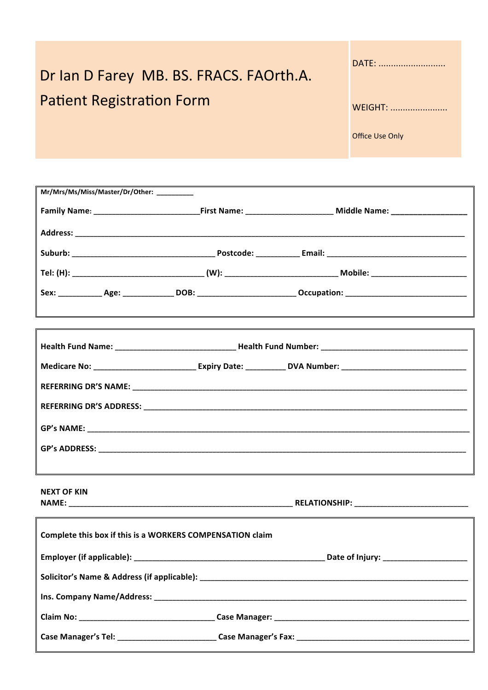| Dr Ian D Farey MB. BS. FRACS. FAOrth.A. |  |
|-----------------------------------------|--|
| <b>Patient Registration Form</b>        |  |

| DATE:                  |
|------------------------|
| WFIGHT:                |
| <b>Office Use Only</b> |

Mr/Mrs/Ms/Miss/Master/Dr/Other: Sex: Age: DOB: DOB: Qccupation: GP's NAME: GP's ADDRESS: A CONTROLLER CONTROLLER CONTROLLER CONTROLLER CONTROLLER CONTROLLER CONTROLLER CONTROLLER CONTROLLER CONTROLLER CONTROLLER CONTROLLER CONTROLLER CONTROLLER CONTROLLER CONTROLLER CONTROLLER CONTROLLER CONTROLL **NEXT OF KIN** 

**NAME:** 

| Complete this box if this is a WORKERS COMPENSATION claim |  |  |  |
|-----------------------------------------------------------|--|--|--|
|                                                           |  |  |  |
|                                                           |  |  |  |
|                                                           |  |  |  |
|                                                           |  |  |  |
|                                                           |  |  |  |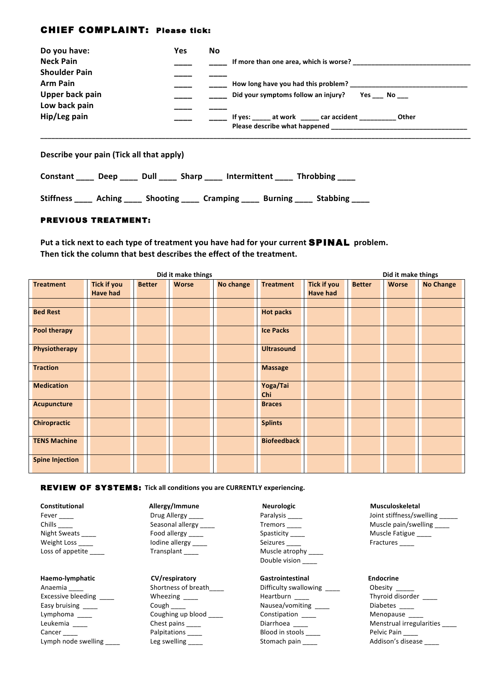# CHIEF COMPLAINT: Please tick:

| Do you have:         | Yes | No                                                      |
|----------------------|-----|---------------------------------------------------------|
| <b>Neck Pain</b>     |     | If more than one area, which is worse?                  |
| <b>Shoulder Pain</b> |     |                                                         |
| <b>Arm Pain</b>      |     | How long have you had this problem?                     |
| Upper back pain      |     | Did your symptoms follow an injury?<br>Yes No           |
| Low back pain        |     |                                                         |
| Hip/Leg pain         |     | If yes: _____ at work _____ car accident _____<br>Other |
|                      |     | Please describe what happened                           |
|                      |     |                                                         |

**Describe your pain (Tick all that apply)** 

| Throbbing<br>Dull<br>Sharp<br>Intermittent<br><b>Constant</b><br>Deep |  |
|-----------------------------------------------------------------------|--|
|-----------------------------------------------------------------------|--|

Stiffness \_\_\_\_ Aching \_\_\_\_ Shooting \_\_\_\_ Cramping \_\_\_\_ Burning \_\_\_\_ Stabbing \_\_\_\_

# PREVIOUS TREATMENT:

Put a tick next to each type of treatment you have had for your current **SPINAL** problem. Then tick the column that best describes the effect of the treatment.

|                        |                    |               | Did it make things |                  |                    |                    |               | Did it make things |                  |
|------------------------|--------------------|---------------|--------------------|------------------|--------------------|--------------------|---------------|--------------------|------------------|
| <b>Treatment</b>       | <b>Tick if you</b> | <b>Better</b> | <b>Worse</b>       | <b>No change</b> | <b>Treatment</b>   | <b>Tick if you</b> | <b>Better</b> | <b>Worse</b>       | <b>No Change</b> |
|                        | <b>Have had</b>    |               |                    |                  |                    | <b>Have had</b>    |               |                    |                  |
|                        |                    |               |                    |                  |                    |                    |               |                    |                  |
| <b>Bed Rest</b>        |                    |               |                    |                  | <b>Hot packs</b>   |                    |               |                    |                  |
| <b>Pool therapy</b>    |                    |               |                    |                  | <b>Ice Packs</b>   |                    |               |                    |                  |
| Physiotherapy          |                    |               |                    |                  | <b>Ultrasound</b>  |                    |               |                    |                  |
| <b>Traction</b>        |                    |               |                    |                  | <b>Massage</b>     |                    |               |                    |                  |
| <b>Medication</b>      |                    |               |                    |                  | Yoga/Tai<br>Chi    |                    |               |                    |                  |
| <b>Acupuncture</b>     |                    |               |                    |                  | <b>Braces</b>      |                    |               |                    |                  |
| <b>Chiropractic</b>    |                    |               |                    |                  | <b>Splints</b>     |                    |               |                    |                  |
| <b>TENS Machine</b>    |                    |               |                    |                  | <b>Biofeedback</b> |                    |               |                    |                  |
| <b>Spine Injection</b> |                    |               |                    |                  |                    |                    |               |                    |                  |

### **REVIEW OF SYSTEMS:** Tick all conditions you are CURRENTLY experiencing.

Weight Loss \_\_\_\_ Iodine allergy \_\_\_\_ Seizures \_\_\_\_ Fractures \_\_\_\_ Weight Loss \_\_\_\_\_ dodine allergy \_\_\_\_<br>
Loss of appetite \_\_\_\_\_ Transplant \_\_\_\_

**Haemo-lymphatic CV/respiratory Gastrointestinal Endocrine**<br> **Anaemia Gastrointestinal CONSCOTE CONSCOTE CONSCOTE CONSCOTE CONSCOTE CONSCOTE** Anaemia \_\_\_\_ Shortness of breath \_\_\_\_ Difficulty swallowing \_\_\_\_ Obesity \_\_\_\_ \_\_<br>Excessive bleeding \_\_\_\_ Wheezing \_\_\_\_ Heartburn \_\_\_\_ Thyroid disorder \_\_\_\_ Excessive bleeding \_\_\_\_ Wheezing \_\_\_\_ Heartburn \_\_\_\_ Thyroid disorder \_\_\_\_ Easy bruising \_\_\_\_ Cough \_\_\_\_ Nausea/vomiting \_\_\_\_ Diabetes \_\_\_\_ Lymphoma \_\_\_\_\_ Coughing up blood \_\_\_\_ Constipation \_\_\_\_ Menopause \_\_\_<br>
Leukemia Chest pains \_\_\_\_ Chest pains Diarrhoea \_\_\_\_ Menstrual irreg Leukemia \_\_\_\_\_ \_\_\_\_\_ \_\_\_\_\_\_\_ Chest pains \_\_\_\_\_ Diarrhoea \_\_\_\_\_ \_\_\_ Menstrual irrustricul irrustricul cancer \_\_\_<br>Cancer \_\_\_\_ Palpitations \_\_\_\_ Blood in stools \_\_\_\_ Pelvic Pain \_\_\_ Lymph node swelling example are supported by the stomach pain and the addison's disease and the stomach pain and the Addison's disease

**Constitutional Allergy/Immune Neurologic Musculoskeletal**

Double vision

Fever \_\_\_\_ Drug Allergy \_\_\_\_ Paralysis \_\_\_\_ Joint stiffness/swelling \_\_\_\_\_ Chills Chills Chills Chills Chills Chills Chills Chills Chills Chills Chills Chills Chills Chills Chills Chill Seasonal allergy Chills Chills Chills Chills Chills Chills Chills Chills Chills Chills Chills Chills Chills Chi Night Sweats \_\_\_\_ https://www.flood allergy \_\_\_\_ https://www.floodu.com/spasticity \_\_\_\_ Muscle Fatigue \_\_\_\_

Chest pains \_\_\_\_\_\_ Diarrhoea \_\_\_\_ Menstrual irregularities \_\_\_\_<br>
Palpitations Blood in stools \_\_\_\_ Pelvic Pain \_\_\_\_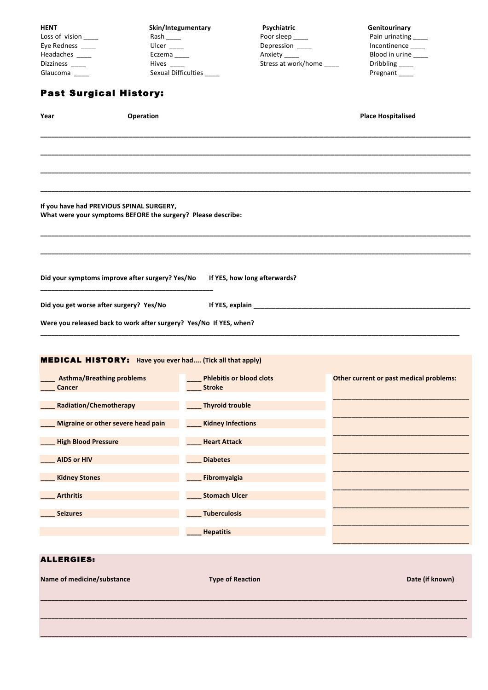| <b>HENT</b><br>Loss of vision ____<br>Eye Redness ____<br>Headaches ____<br>Dizziness ____<br>Glaucoma <sub>___</sub> | Skin/Integumentary<br>Ulcer $\frac{1}{2}$<br>Eczema___<br>Hives _____<br>Sexual Difficulties | Psychiatric<br>Poor sleep ____<br>Depression ____<br>Anxiety _____<br>Stress at work/home ____ | Genitourinary<br>Pain urinating<br>Incontinence<br>Blood in urine ____<br>Dribbling _____<br>Pregnant ____ |
|-----------------------------------------------------------------------------------------------------------------------|----------------------------------------------------------------------------------------------|------------------------------------------------------------------------------------------------|------------------------------------------------------------------------------------------------------------|
| <b>Past Surgical History:</b>                                                                                         |                                                                                              |                                                                                                |                                                                                                            |
| Year<br>Operation                                                                                                     |                                                                                              |                                                                                                | <b>Place Hospitalised</b>                                                                                  |
|                                                                                                                       |                                                                                              |                                                                                                |                                                                                                            |
| If you have had PREVIOUS SPINAL SURGERY,<br>What were your symptoms BEFORE the surgery? Please describe:              |                                                                                              |                                                                                                |                                                                                                            |
| Did your symptoms improve after surgery? Yes/No                                                                       |                                                                                              | If YES, how long afterwards?                                                                   |                                                                                                            |
| Did you get worse after surgery? Yes/No<br>Were you released back to work after surgery? Yes/No If YES, when?         |                                                                                              |                                                                                                |                                                                                                            |
| <b>MEDICAL HISTORY:</b> Have you ever had (Tick all that apply)                                                       |                                                                                              |                                                                                                |                                                                                                            |
| _ Asthma/Breathing problems<br><b>Cancer</b>                                                                          | <b>Stroke</b>                                                                                | <b>Phlebitis or blood clots</b>                                                                | Other current or past medical problems:                                                                    |
| <b>Radiation/Chemotherapy</b>                                                                                         | <b>Thyroid trouble</b>                                                                       |                                                                                                |                                                                                                            |
| Migraine or other severe head pain                                                                                    | <b>Kidney Infections</b>                                                                     |                                                                                                |                                                                                                            |
| <b>High Blood Pressure</b>                                                                                            | <b>Heart Attack</b>                                                                          |                                                                                                |                                                                                                            |
| <b>AIDS or HIV</b>                                                                                                    | <b>Diabetes</b>                                                                              |                                                                                                |                                                                                                            |
| <b>Kidney Stones</b>                                                                                                  | Fibromyalgia                                                                                 |                                                                                                |                                                                                                            |
| <b>Arthritis</b>                                                                                                      | <b>Stomach Ulcer</b>                                                                         |                                                                                                |                                                                                                            |
|                                                                                                                       |                                                                                              |                                                                                                |                                                                                                            |
| <b>Seizures</b>                                                                                                       | <b>Tuberculosis</b>                                                                          |                                                                                                |                                                                                                            |
|                                                                                                                       | <b>Hepatitis</b>                                                                             |                                                                                                |                                                                                                            |
| <b>ALLERGIES:</b>                                                                                                     |                                                                                              |                                                                                                |                                                                                                            |
| Name of medicine/substance                                                                                            | <b>Type of Reaction</b>                                                                      |                                                                                                | Date (if known)                                                                                            |
|                                                                                                                       |                                                                                              |                                                                                                |                                                                                                            |
|                                                                                                                       |                                                                                              |                                                                                                |                                                                                                            |
|                                                                                                                       |                                                                                              |                                                                                                |                                                                                                            |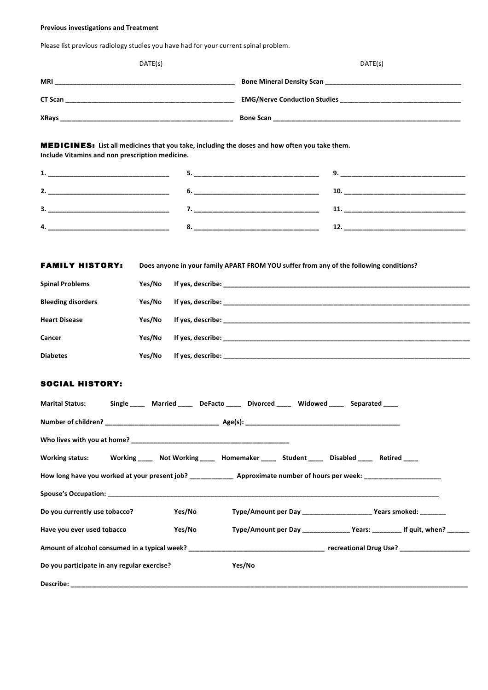### **Previous investigations and Treatment**

Please list previous radiology studies you have had for your current spinal problem.

| DATE(s)                                                                                                                                          | DATE(s)                                                                                   |
|--------------------------------------------------------------------------------------------------------------------------------------------------|-------------------------------------------------------------------------------------------|
|                                                                                                                                                  |                                                                                           |
|                                                                                                                                                  |                                                                                           |
|                                                                                                                                                  |                                                                                           |
| MEDICINES: List all medicines that you take, including the doses and how often you take them.<br>Include Vitamins and non prescription medicine. |                                                                                           |
|                                                                                                                                                  |                                                                                           |
|                                                                                                                                                  |                                                                                           |
|                                                                                                                                                  |                                                                                           |
|                                                                                                                                                  |                                                                                           |
| <b>FAMILY HISTORY:</b>                                                                                                                           | Does anyone in your family APART FROM YOU suffer from any of the following conditions?    |
| <b>Spinal Problems</b><br>Yes/No                                                                                                                 |                                                                                           |
| <b>Bleeding disorders</b><br>Yes/No                                                                                                              |                                                                                           |
| <b>Heart Disease</b><br>Yes/No                                                                                                                   |                                                                                           |
| Cancer<br>Yes/No                                                                                                                                 |                                                                                           |
| <b>Diabetes</b><br>Yes/No                                                                                                                        |                                                                                           |
|                                                                                                                                                  |                                                                                           |
| SOCIAL HISTORY:                                                                                                                                  |                                                                                           |
| <b>Marital Status:</b>                                                                                                                           | Single Married DeFacto Divorced Widowed Separated                                         |
|                                                                                                                                                  |                                                                                           |
|                                                                                                                                                  |                                                                                           |
| <b>Working status:</b>                                                                                                                           | Working _____ Not Working _____ Homemaker _____ Student _____ Disabled _____ Retired ____ |
|                                                                                                                                                  |                                                                                           |
|                                                                                                                                                  |                                                                                           |
| Do you currently use tobacco?<br>Yes/No                                                                                                          | Type/Amount per Day ________________________ Years smoked: _______                        |
| Have you ever used tobacco<br>Yes/No                                                                                                             | Type/Amount per Day ______________ Years: _________ If quit, when? ______                 |
|                                                                                                                                                  |                                                                                           |
| Do you participate in any regular exercise?                                                                                                      | Yes/No                                                                                    |
|                                                                                                                                                  |                                                                                           |